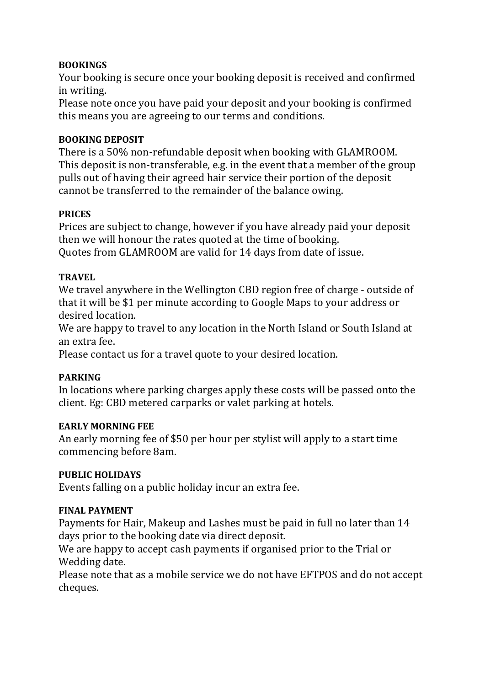# **BOOKINGS**

Your booking is secure once your booking deposit is received and confirmed in writing.

Please note once you have paid your deposit and your booking is confirmed this means you are agreeing to our terms and conditions.

## **BOOKING DEPOSIT**

There is a 50% non-refundable deposit when booking with GLAMROOM. This deposit is non-transferable, e.g. in the event that a member of the group pulls out of having their agreed hair service their portion of the deposit cannot be transferred to the remainder of the balance owing.

## **PRICES**

Prices are subject to change, however if you have already paid your deposit then we will honour the rates quoted at the time of booking. Quotes from GLAMROOM are valid for 14 days from date of issue.

## **TRAVEL**

We travel anywhere in the Wellington CBD region free of charge - outside of that it will be \$1 per minute according to Google Maps to your address or desired location.

We are happy to travel to any location in the North Island or South Island at an extra fee.

Please contact us for a travel quote to your desired location.

# **PARKING**

In locations where parking charges apply these costs will be passed onto the client. Eg: CBD metered carparks or valet parking at hotels.

## **EARLY MORNING FEE**

An early morning fee of \$50 per hour per stylist will apply to a start time commencing before 8am.

## **PUBLIC HOLIDAYS**

Events falling on a public holiday incur an extra fee.

# **FINAL PAYMENT**

Payments for Hair, Makeup and Lashes must be paid in full no later than 14 days prior to the booking date via direct deposit.

We are happy to accept cash payments if organised prior to the Trial or Wedding date.

Please note that as a mobile service we do not have EFTPOS and do not accept cheques.